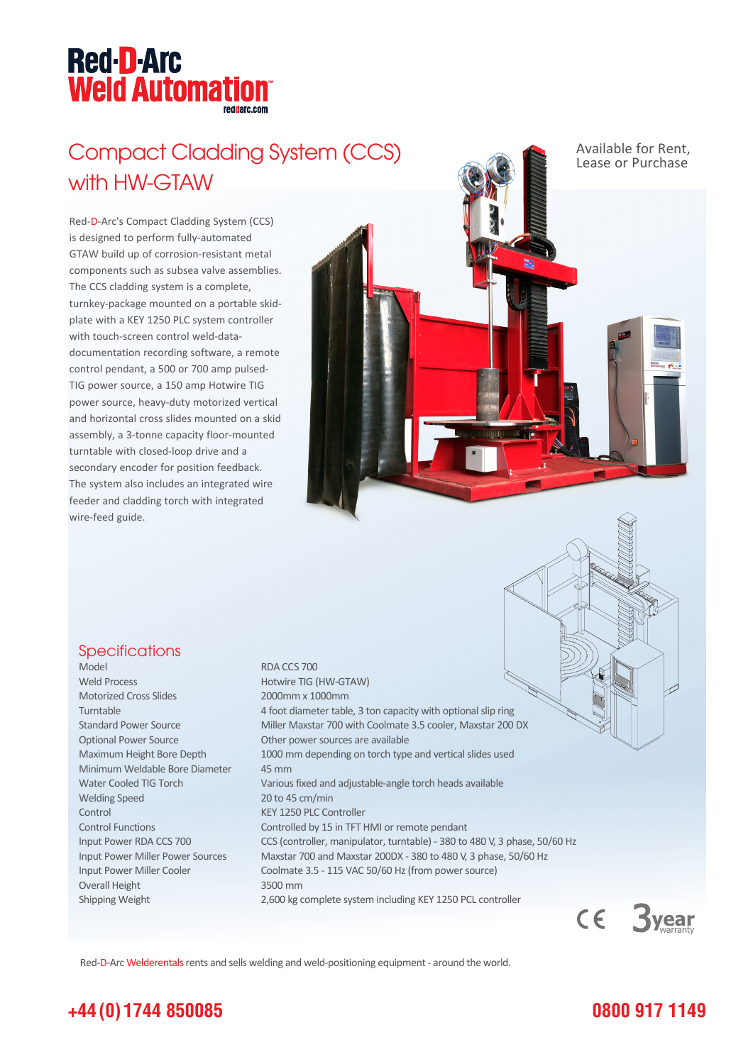## **Red-D-Arc Weld Automation®**

## Compact Cladding System (CCS) Available for Rent, with HW-GTAW

Red-D-Arc's Compact Cladding System (CCS) is designed to perform fully-automated GTAW build up of corrosion-resistant metal components such as subsea valve assemblies. The CCS cladding system is a complete, turnkey-package mounted on a portable skidplate with a KEY 1250 PLC system controller with touch-screen control weld-datadocumentation recording software, a remote control pendant, a 500 or 700 amp pulsed-TIG power source, a 150 amp Hotwire TIG power source, heavy-duty motorized vertical and horizontal cross slides mounted on a skid assembly, a 3-tonne capacity floor-mounted turntable with closed-loop drive and a secondary encoder for position feedback. The system also includes an integrated wire feeder and cladding torch with integrated wire-feed guide.

#### Specifications

Model RDA CCS 700 Weld Process **Hotwire TIG (HW-GTAW)** Motorized Cross Slides 2000mm x 1000mm Optional Power Source **Other power sources** are available Minimum Weldable Bore Diameter 45 mm Welding Speed 20 to 45 cm/min Control KEY 1250 PLC Controller Overall Height 3500 mm

Turntable 4 foot diameter table, 3 ton capacity with optional slip ring Standard Power Source Miller Maxstar 700 with Coolmate 3.5 cooler, Maxstar 200 DX Maximum Height Bore Depth 1000 mm depending on torch type and vertical slides used Water Cooled TIG Torch Various fixed and adjustable-angle torch heads available Control Functions Controlled by 15 in TFT HMI or remote pendant Input Power RDA CCS 700 CCS (controller, manipulator, turntable) - 380 to 480 V, 3 phase, 50/60 Hz Input Power Miller Power Sources Maxstar 700 and Maxstar 200DX - 380 to 480 V, 3 phase, 50/60 Hz Input Power Miller Cooler Coolmate 3.5 - 115 VAC 50/60 Hz (from power source) Shipping Weight 2,600 kg complete system including KEY 1250 PCL controller



Red-D-Arc Welderentals rents and sells welding and weld-positioning equipment - around the world.

#### **+44 (0) 1744 850085**

#### **0800 917 1149**